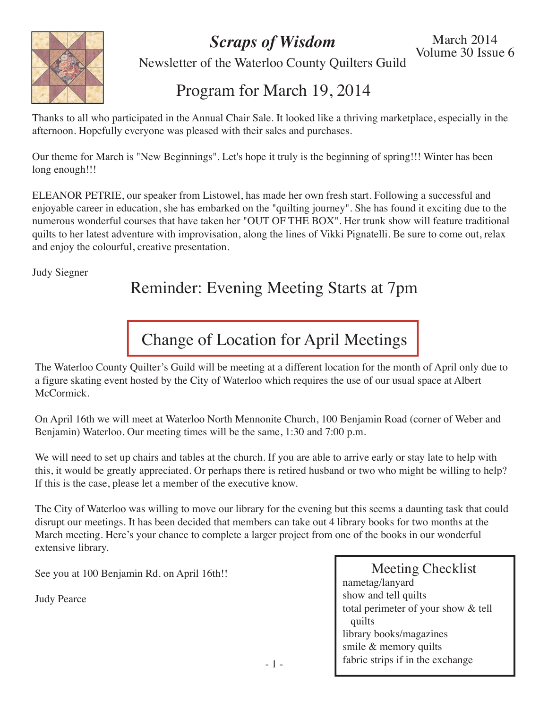*Scraps of Wisdom*



Newsletter of the Waterloo County Quilters Guild

### Program for March 19, 2014

Thanks to all who participated in the Annual Chair Sale. It looked like a thriving marketplace, especially in the afternoon. Hopefully everyone was pleased with their sales and purchases.

Our theme for March is "New Beginnings". Let's hope it truly is the beginning of spring!!! Winter has been long enough!!!

ELEANOR PETRIE, our speaker from Listowel, has made her own fresh start. Following a successful and enjoyable career in education, she has embarked on the "quilting journey". She has found it exciting due to the numerous wonderful courses that have taken her "OUT OF THE BOX". Her trunk show will feature traditional quilts to her latest adventure with improvisation, along the lines of Vikki Pignatelli. Be sure to come out, relax and enjoy the colourful, creative presentation.

Judy Siegner

### Reminder: Evening Meeting Starts at 7pm

# Change of Location for April Meetings

The Waterloo County Quilter's Guild will be meeting at a different location for the month of April only due to a figure skating event hosted by the City of Waterloo which requires the use of our usual space at Albert McCormick.

On April 16th we will meet at Waterloo North Mennonite Church, 100 Benjamin Road (corner of Weber and Benjamin) Waterloo. Our meeting times will be the same, 1:30 and 7:00 p.m.

We will need to set up chairs and tables at the church. If you are able to arrive early or stay late to help with this, it would be greatly appreciated. Or perhaps there is retired husband or two who might be willing to help? If this is the case, please let a member of the executive know.

The City of Waterloo was willing to move our library for the evening but this seems a daunting task that could disrupt our meetings. It has been decided that members can take out 4 library books for two months at the March meeting. Here's your chance to complete a larger project from one of the books in our wonderful extensive library.

See you at 100 Benjamin Rd. on April 16th!!

Judy Pearce

Meeting Checklist nametag/lanyard show and tell quilts total perimeter of your show & tell quilts library books/magazines smile & memory quilts fabric strips if in the exchange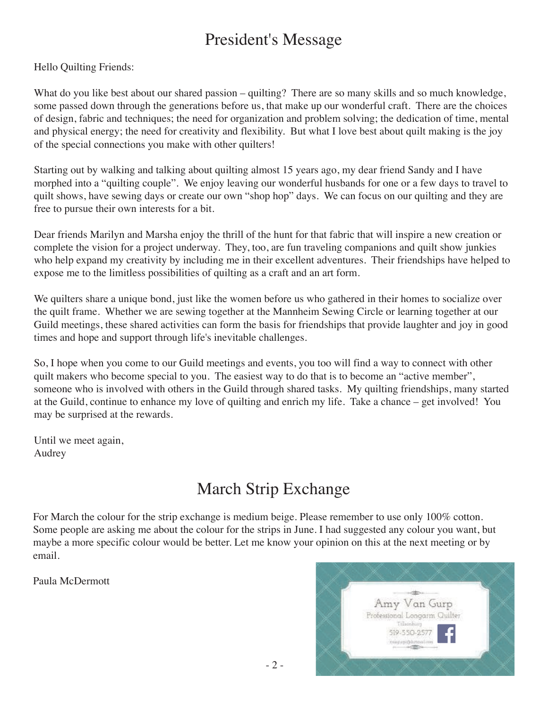### President's Message

Hello Quilting Friends:

What do you like best about our shared passion – quilting? There are so many skills and so much knowledge, some passed down through the generations before us, that make up our wonderful craft. There are the choices of design, fabric and techniques; the need for organization and problem solving; the dedication of time, mental and physical energy; the need for creativity and flexibility. But what I love best about quilt making is the joy of the special connections you make with other quilters!

Starting out by walking and talking about quilting almost 15 years ago, my dear friend Sandy and I have morphed into a "quilting couple". We enjoy leaving our wonderful husbands for one or a few days to travel to quilt shows, have sewing days or create our own "shop hop" days. We can focus on our quilting and they are free to pursue their own interests for a bit.

Dear friends Marilyn and Marsha enjoy the thrill of the hunt for that fabric that will inspire a new creation or complete the vision for a project underway. They, too, are fun traveling companions and quilt show junkies who help expand my creativity by including me in their excellent adventures. Their friendships have helped to expose me to the limitless possibilities of quilting as a craft and an art form.

We quilters share a unique bond, just like the women before us who gathered in their homes to socialize over the quilt frame. Whether we are sewing together at the Mannheim Sewing Circle or learning together at our Guild meetings, these shared activities can form the basis for friendships that provide laughter and joy in good times and hope and support through life's inevitable challenges.

So, I hope when you come to our Guild meetings and events, you too will find a way to connect with other quilt makers who become special to you. The easiest way to do that is to become an "active member", someone who is involved with others in the Guild through shared tasks. My quilting friendships, many started at the Guild, continue to enhance my love of quilting and enrich my life. Take a chance – get involved! You may be surprised at the rewards.

Until we meet again, Audrey

# March Strip Exchange

For March the colour for the strip exchange is medium beige. Please remember to use only 100% cotton. Some people are asking me about the colour for the strips in June. I had suggested any colour you want, but maybe a more specific colour would be better. Let me know your opinion on this at the next meeting or by email.

Paula McDermott

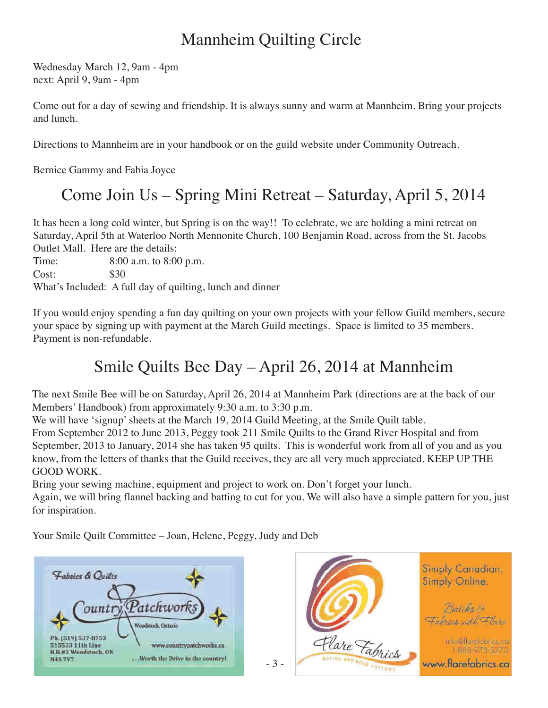# Mannheim Quilting Circle

Wednesday March 12, 9am - 4pm next: April 9, 9am - 4pm

Come out for a day of sewing and friendship. It is always sunny and warm at Mannheim. Bring your projects and lunch.

Directions to Mannheim are in your handbook or on the guild website under Community Outreach.

Bernice Gammy and Fabia Joyce

# Come Join Us – Spring Mini Retreat – Saturday, April 5, 2014

It has been a long cold winter, but Spring is on the way!! To celebrate, we are holding a mini retreat on Saturday, April 5th at Waterloo North Mennonite Church, 100 Benjamin Road, across from the St. Jacobs Outlet Mall. Here are the details:

Time: 8:00 a.m. to 8:00 p.m. Cost: \$30 What's Included: A full day of quilting, lunch and dinner

If you would enjoy spending a fun day quilting on your own projects with your fellow Guild members, secure your space by signing up with payment at the March Guild meetings. Space is limited to 35 members. Payment is non-refundable.

# Smile Quilts Bee Day – April 26, 2014 at Mannheim

The next Smile Bee will be on Saturday, April 26, 2014 at Mannheim Park (directions are at the back of our Members' Handbook) from approximately 9:30 a.m. to 3:30 p.m.

We will have 'signup' sheets at the March 19, 2014 Guild Meeting, at the Smile Quilt table.

From September 2012 to June 2013, Peggy took 211 Smile Quilts to the Grand River Hospital and from September, 2013 to January, 2014 she has taken 95 quilts. This is wonderful work from all of you and as you know, from the letters of thanks that the Guild receives, they are all very much appreciated. KEEP UP THE GOOD WORK.

Bring your sewing machine, equipment and project to work on. Don't forget your lunch.

Again, we will bring flannel backing and batting to cut for you. We will also have a simple pattern for you, just for inspiration.

Your Smile Quilt Committee – Joan, Helene, Peggy, Judy and Deb



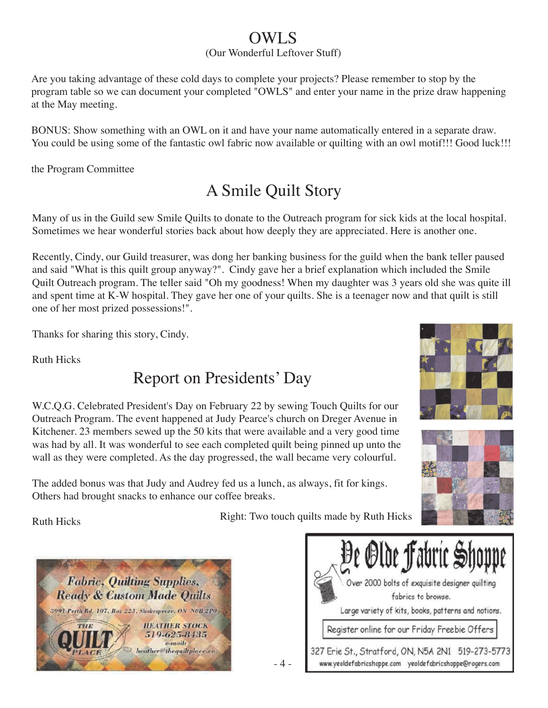### OWLS

#### (Our Wonderful Leftover Stuff)

Are you taking advantage of these cold days to complete your projects? Please remember to stop by the program table so we can document your completed "OWLS" and enter your name in the prize draw happening at the May meeting.

BONUS: Show something with an OWL on it and have your name automatically entered in a separate draw. You could be using some of the fantastic owl fabric now available or quilting with an owl motif!!! Good luck!!!

the Program Committee

# A Smile Quilt Story

Many of us in the Guild sew Smile Quilts to donate to the Outreach program for sick kids at the local hospital. Sometimes we hear wonderful stories back about how deeply they are appreciated. Here is another one.

Recently, Cindy, our Guild treasurer, was dong her banking business for the guild when the bank teller paused and said "What is this quilt group anyway?". Cindy gave her a brief explanation which included the Smile Quilt Outreach program. The teller said "Oh my goodness! When my daughter was 3 years old she was quite ill and spent time at K-W hospital. They gave her one of your quilts. She is a teenager now and that quilt is still one of her most prized possessions!".

Thanks for sharing this story, Cindy.

Ruth Hicks

### Report on Presidents' Day



W.C.Q.G. Celebrated President's Day on February 22 by sewing Touch Quilts for our Outreach Program. The event happened at Judy Pearce's church on Dreger Avenue in Kitchener. 23 members sewed up the 50 kits that were available and a very good time was had by all. It was wonderful to see each completed quilt being pinned up unto the wall as they were completed. As the day progressed, the wall became very colourful.

The added bonus was that Judy and Audrey fed us a lunch, as always, fit for kings. Others had brought snacks to enhance our coffee breaks.

Ruth Hicks

Right: Two touch quilts made by Ruth Hicks

- 4 -



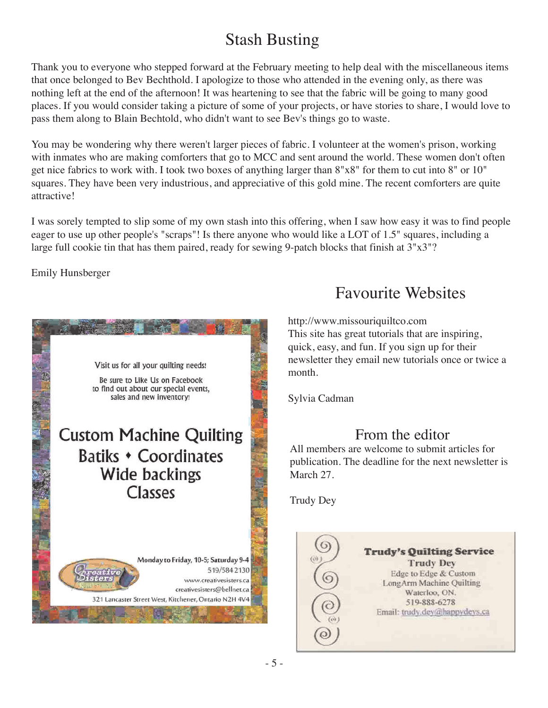# Stash Busting

Thank you to everyone who stepped forward at the February meeting to help deal with the miscellaneous items that once belonged to Bev Bechthold. I apologize to those who attended in the evening only, as there was nothing left at the end of the afternoon! It was heartening to see that the fabric will be going to many good places. If you would consider taking a picture of some of your projects, or have stories to share, I would love to pass them along to Blain Bechtold, who didn't want to see Bev's things go to waste.

You may be wondering why there weren't larger pieces of fabric. I volunteer at the women's prison, working with inmates who are making comforters that go to MCC and sent around the world. These women don't often get nice fabrics to work with. I took two boxes of anything larger than 8"x8" for them to cut into 8" or 10" squares. They have been very industrious, and appreciative of this gold mine. The recent comforters are quite attractive!

I was sorely tempted to slip some of my own stash into this offering, when I saw how easy it was to find people eager to use up other people's "scraps"! Is there anyone who would like a LOT of 1.5" squares, including a large full cookie tin that has them paired, ready for sewing 9-patch blocks that finish at 3"x3"?

Emily Hunsberger



### Favourite Websites

http://www.missouriquiltco.com This site has great tutorials that are inspiring, quick, easy, and fun. If you sign up for their newsletter they email new tutorials once or twice a month.

Sylvia Cadman

#### From the editor

All members are welcome to submit articles for publication. The deadline for the next newsletter is March 27.

Trudy Dey